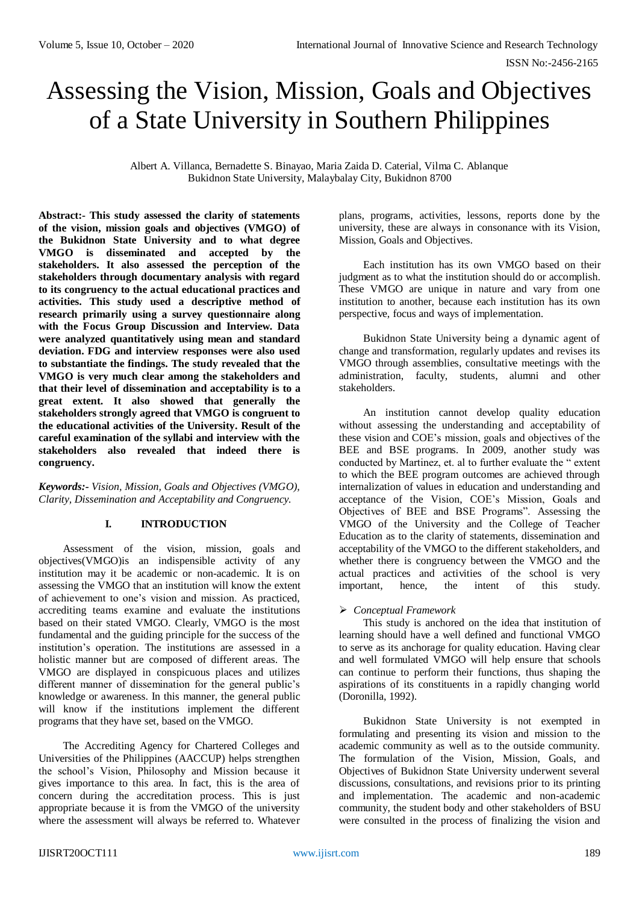ISSN No:-2456-2165

# Assessing the Vision, Mission, Goals and Objectives of a State University in Southern Philippines

Albert A. Villanca, Bernadette S. Binayao, Maria Zaida D. Caterial, Vilma C. Ablanque Bukidnon State University, Malaybalay City, Bukidnon 8700

**Abstract:- This study assessed the clarity of statements of the vision, mission goals and objectives (VMGO) of the Bukidnon State University and to what degree VMGO is disseminated and accepted by the stakeholders. It also assessed the perception of the stakeholders through documentary analysis with regard to its congruency to the actual educational practices and activities. This study used a descriptive method of research primarily using a survey questionnaire along with the Focus Group Discussion and Interview. Data were analyzed quantitatively using mean and standard deviation. FDG and interview responses were also used to substantiate the findings. The study revealed that the VMGO is very much clear among the stakeholders and that their level of dissemination and acceptability is to a great extent. It also showed that generally the stakeholders strongly agreed that VMGO is congruent to the educational activities of the University. Result of the careful examination of the syllabi and interview with the stakeholders also revealed that indeed there is congruency.** 

*Keywords:- Vision, Mission, Goals and Objectives (VMGO), Clarity, Dissemination and Acceptability and Congruency.*

# **I. INTRODUCTION**

Assessment of the vision, mission, goals and objectives(VMGO)is an indispensible activity of any institution may it be academic or non-academic. It is on assessing the VMGO that an institution will know the extent of achievement to one's vision and mission. As practiced, accrediting teams examine and evaluate the institutions based on their stated VMGO. Clearly, VMGO is the most fundamental and the guiding principle for the success of the institution's operation. The institutions are assessed in a holistic manner but are composed of different areas. The VMGO are displayed in conspicuous places and utilizes different manner of dissemination for the general public's knowledge or awareness. In this manner, the general public will know if the institutions implement the different programs that they have set, based on the VMGO.

The Accrediting Agency for Chartered Colleges and Universities of the Philippines (AACCUP) helps strengthen the school's Vision, Philosophy and Mission because it gives importance to this area. In fact, this is the area of concern during the accreditation process. This is just appropriate because it is from the VMGO of the university where the assessment will always be referred to. Whatever

plans, programs, activities, lessons, reports done by the university, these are always in consonance with its Vision, Mission, Goals and Objectives.

Each institution has its own VMGO based on their judgment as to what the institution should do or accomplish. These VMGO are unique in nature and vary from one institution to another, because each institution has its own perspective, focus and ways of implementation.

Bukidnon State University being a dynamic agent of change and transformation, regularly updates and revises its VMGO through assemblies, consultative meetings with the administration, faculty, students, alumni and other stakeholders.

An institution cannot develop quality education without assessing the understanding and acceptability of these vision and COE's mission, goals and objectives of the BEE and BSE programs. In 2009, another study was conducted by Martinez, et. al to further evaluate the " extent to which the BEE program outcomes are achieved through internalization of values in education and understanding and acceptance of the Vision, COE's Mission, Goals and Objectives of BEE and BSE Programs". Assessing the VMGO of the University and the College of Teacher Education as to the clarity of statements, dissemination and acceptability of the VMGO to the different stakeholders, and whether there is congruency between the VMGO and the actual practices and activities of the school is very important, hence, the intent of this study.

# *Conceptual Framework*

This study is anchored on the idea that institution of learning should have a well defined and functional VMGO to serve as its anchorage for quality education. Having clear and well formulated VMGO will help ensure that schools can continue to perform their functions, thus shaping the aspirations of its constituents in a rapidly changing world (Doronilla, 1992).

Bukidnon State University is not exempted in formulating and presenting its vision and mission to the academic community as well as to the outside community. The formulation of the Vision, Mission, Goals, and Objectives of Bukidnon State University underwent several discussions, consultations, and revisions prior to its printing and implementation. The academic and non-academic community, the student body and other stakeholders of BSU were consulted in the process of finalizing the vision and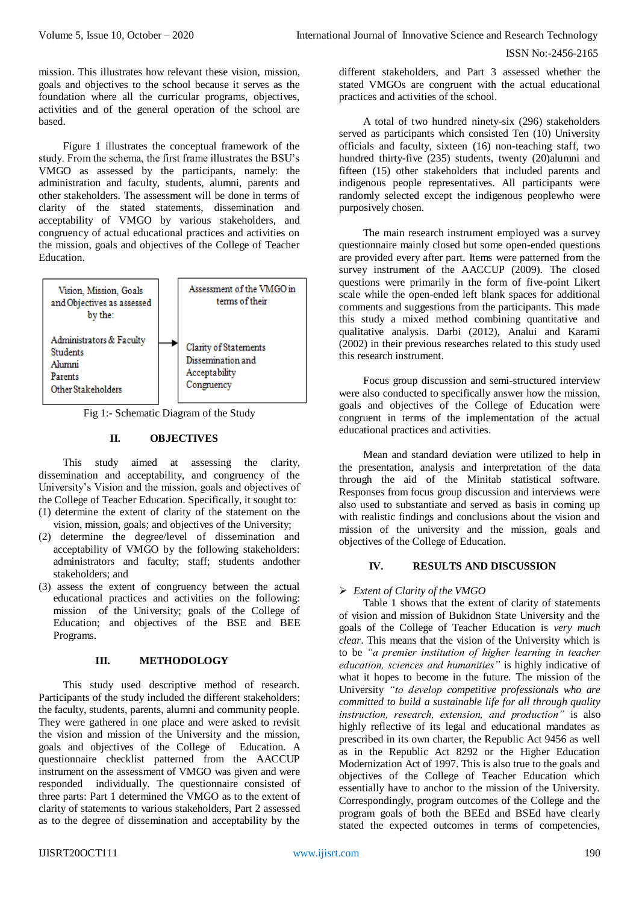mission. This illustrates how relevant these vision, mission, goals and objectives to the school because it serves as the foundation where all the curricular programs, objectives, activities and of the general operation of the school are based.

Figure 1 illustrates the conceptual framework of the study. From the schema, the first frame illustrates the BSU's VMGO as assessed by the participants, namely: the administration and faculty, students, alumni, parents and other stakeholders. The assessment will be done in terms of clarity of the stated statements, dissemination and acceptability of VMGO by various stakeholders, and congruency of actual educational practices and activities on the mission, goals and objectives of the College of Teacher Education.



Fig 1:- Schematic Diagram of the Study

# **II. OBJECTIVES**

This study aimed at assessing the clarity, dissemination and acceptability, and congruency of the University's Vision and the mission, goals and objectives of the College of Teacher Education. Specifically, it sought to:

- (1) determine the extent of clarity of the statement on the vision, mission, goals; and objectives of the University;
- (2) determine the degree/level of dissemination and acceptability of VMGO by the following stakeholders: administrators and faculty; staff; students andother stakeholders; and
- (3) assess the extent of congruency between the actual educational practices and activities on the following: mission of the University; goals of the College of Education; and objectives of the BSE and BEE Programs.

# **III. METHODOLOGY**

This study used descriptive method of research. Participants of the study included the different stakeholders: the faculty, students, parents, alumni and community people. They were gathered in one place and were asked to revisit the vision and mission of the University and the mission, goals and objectives of the College of Education. A questionnaire checklist patterned from the AACCUP instrument on the assessment of VMGO was given and were responded individually. The questionnaire consisted of three parts: Part 1 determined the VMGO as to the extent of clarity of statements to various stakeholders, Part 2 assessed as to the degree of dissemination and acceptability by the

different stakeholders, and Part 3 assessed whether the stated VMGOs are congruent with the actual educational practices and activities of the school.

A total of two hundred ninety-six (296) stakeholders served as participants which consisted Ten (10) University officials and faculty, sixteen (16) non-teaching staff, two hundred thirty-five (235) students, twenty (20)alumni and fifteen (15) other stakeholders that included parents and indigenous people representatives. All participants were randomly selected except the indigenous peoplewho were purposively chosen.

The main research instrument employed was a survey questionnaire mainly closed but some open-ended questions are provided every after part. Items were patterned from the survey instrument of the AACCUP (2009). The closed questions were primarily in the form of five-point Likert scale while the open-ended left blank spaces for additional comments and suggestions from the participants. This made this study a mixed method combining quantitative and qualitative analysis. Darbi (2012), Analui and Karami (2002) in their previous researches related to this study used this research instrument.

Focus group discussion and semi-structured interview were also conducted to specifically answer how the mission, goals and objectives of the College of Education were congruent in terms of the implementation of the actual educational practices and activities.

Mean and standard deviation were utilized to help in the presentation, analysis and interpretation of the data through the aid of the Minitab statistical software. Responses from focus group discussion and interviews were also used to substantiate and served as basis in coming up with realistic findings and conclusions about the vision and mission of the university and the mission, goals and objectives of the College of Education.

# **IV. RESULTS AND DISCUSSION**

# *Extent of Clarity of the VMGO*

Table 1 shows that the extent of clarity of statements of vision and mission of Bukidnon State University and the goals of the College of Teacher Education is *very much clear*. This means that the vision of the University which is to be *"a premier institution of higher learning in teacher education, sciences and humanities"* is highly indicative of what it hopes to become in the future. The mission of the University *"to develop competitive professionals who are committed to build a sustainable life for all through quality instruction, research, extension, and production"* is also highly reflective of its legal and educational mandates as prescribed in its own charter, the Republic Act 9456 as well as in the Republic Act 8292 or the Higher Education Modernization Act of 1997. This is also true to the goals and objectives of the College of Teacher Education which essentially have to anchor to the mission of the University. Correspondingly, program outcomes of the College and the program goals of both the BEEd and BSEd have clearly stated the expected outcomes in terms of competencies,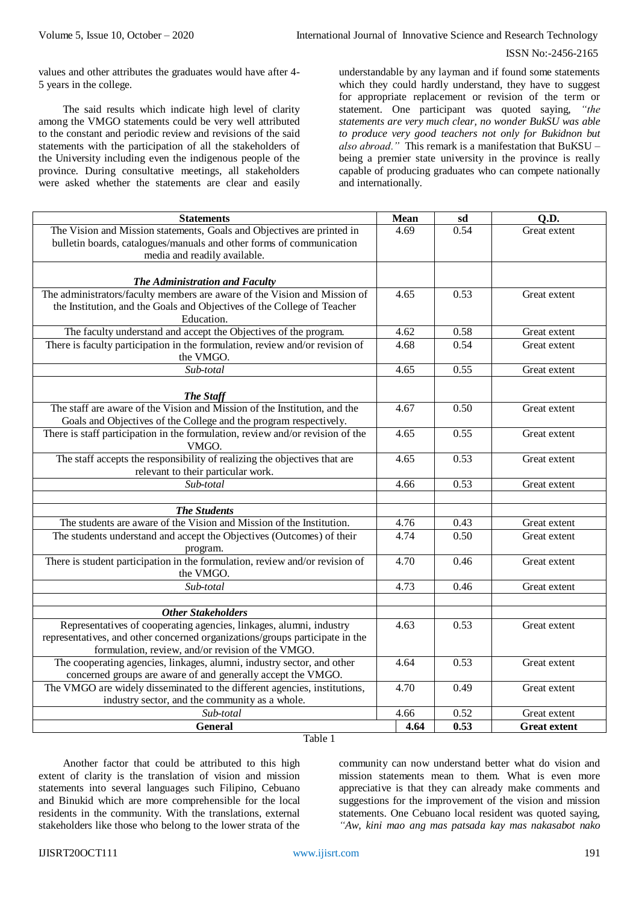values and other attributes the graduates would have after 4- 5 years in the college.

The said results which indicate high level of clarity among the VMGO statements could be very well attributed to the constant and periodic review and revisions of the said statements with the participation of all the stakeholders of the University including even the indigenous people of the province. During consultative meetings, all stakeholders were asked whether the statements are clear and easily understandable by any layman and if found some statements which they could hardly understand, they have to suggest for appropriate replacement or revision of the term or statement. One participant was quoted saying, *"the statements are very much clear, no wonder BukSU was able to produce very good teachers not only for Bukidnon but also abroad."* This remark is a manifestation that BuKSU – being a premier state university in the province is really capable of producing graduates who can compete nationally and internationally.

| <b>Statements</b>                                                                                                                 | <b>Mean</b> | sd   | Q.D.                |
|-----------------------------------------------------------------------------------------------------------------------------------|-------------|------|---------------------|
| The Vision and Mission statements, Goals and Objectives are printed in                                                            | 4.69        | 0.54 | Great extent        |
| bulletin boards, catalogues/manuals and other forms of communication                                                              |             |      |                     |
| media and readily available.                                                                                                      |             |      |                     |
|                                                                                                                                   |             |      |                     |
| The Administration and Faculty                                                                                                    |             |      |                     |
| The administrators/faculty members are aware of the Vision and Mission of                                                         | 4.65        | 0.53 | Great extent        |
| the Institution, and the Goals and Objectives of the College of Teacher                                                           |             |      |                     |
| Education.                                                                                                                        |             |      |                     |
| The faculty understand and accept the Objectives of the program.                                                                  | 4.62        | 0.58 | Great extent        |
| There is faculty participation in the formulation, review and/or revision of<br>the VMGO.                                         | 4.68        | 0.54 | Great extent        |
| Sub-total                                                                                                                         | 4.65        | 0.55 | Great extent        |
|                                                                                                                                   |             |      |                     |
| The Staff                                                                                                                         |             |      |                     |
| The staff are aware of the Vision and Mission of the Institution, and the                                                         | 4.67        | 0.50 | Great extent        |
| Goals and Objectives of the College and the program respectively.                                                                 |             |      |                     |
| There is staff participation in the formulation, review and/or revision of the                                                    | 4.65        | 0.55 | Great extent        |
| VMGO.                                                                                                                             |             |      |                     |
| The staff accepts the responsibility of realizing the objectives that are                                                         | 4.65        | 0.53 | Great extent        |
| relevant to their particular work.                                                                                                |             |      |                     |
| Sub-total                                                                                                                         | 4.66        | 0.53 | Great extent        |
|                                                                                                                                   |             |      |                     |
| <b>The Students</b>                                                                                                               |             |      |                     |
| The students are aware of the Vision and Mission of the Institution.                                                              | 4.76        | 0.43 | Great extent        |
| The students understand and accept the Objectives (Outcomes) of their                                                             | 4.74        | 0.50 | Great extent        |
| program.                                                                                                                          |             |      |                     |
| There is student participation in the formulation, review and/or revision of                                                      | 4.70        | 0.46 | Great extent        |
| the VMGO.                                                                                                                         |             |      |                     |
| Sub-total                                                                                                                         | 4.73        | 0.46 | Great extent        |
|                                                                                                                                   |             |      |                     |
| <b>Other Stakeholders</b>                                                                                                         |             |      |                     |
| Representatives of cooperating agencies, linkages, alumni, industry                                                               | 4.63        | 0.53 | Great extent        |
| representatives, and other concerned organizations/groups participate in the<br>formulation, review, and/or revision of the VMGO. |             |      |                     |
| The cooperating agencies, linkages, alumni, industry sector, and other                                                            | 4.64        | 0.53 | Great extent        |
| concerned groups are aware of and generally accept the VMGO.                                                                      |             |      |                     |
| The VMGO are widely disseminated to the different agencies, institutions,                                                         | 4.70        | 0.49 | Great extent        |
| industry sector, and the community as a whole.                                                                                    |             |      |                     |
| Sub-total                                                                                                                         | 4.66        | 0.52 | Great extent        |
| <b>General</b>                                                                                                                    | 4.64        | 0.53 | <b>Great extent</b> |
|                                                                                                                                   |             |      |                     |

Table 1

Another factor that could be attributed to this high extent of clarity is the translation of vision and mission statements into several languages such Filipino, Cebuano and Binukid which are more comprehensible for the local residents in the community. With the translations, external stakeholders like those who belong to the lower strata of the

community can now understand better what do vision and mission statements mean to them. What is even more appreciative is that they can already make comments and suggestions for the improvement of the vision and mission statements. One Cebuano local resident was quoted saying, *"Aw, kini mao ang mas patsada kay mas nakasabot nako*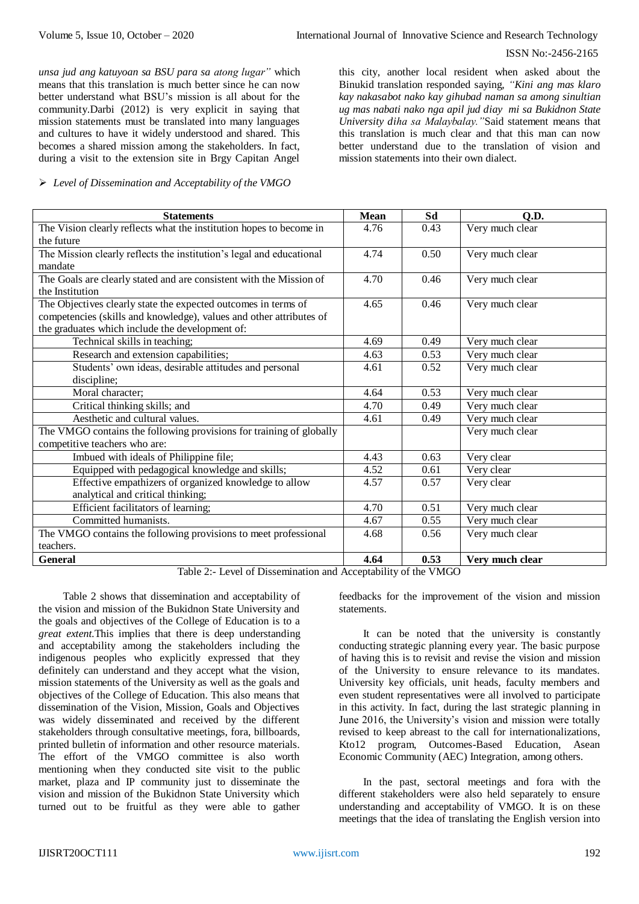#### ISSN No:-2456-2165

*unsa jud ang katuyoan sa BSU para sa atong lugar"* which means that this translation is much better since he can now better understand what BSU's mission is all about for the community.Darbi (2012) is very explicit in saying that mission statements must be translated into many languages and cultures to have it widely understood and shared. This becomes a shared mission among the stakeholders. In fact, during a visit to the extension site in Brgy Capitan Angel

### *Level of Dissemination and Acceptability of the VMGO*

this city, another local resident when asked about the Binukid translation responded saying, *"Kini ang mas klaro kay nakasabot nako kay gihubad naman sa among sinultian ug mas nabati nako nga apil jud diay mi sa Bukidnon State University diha sa Malaybalay."*Said statement means that this translation is much clear and that this man can now better understand due to the translation of vision and mission statements into their own dialect.

| <b>Statements</b>                                                    | <b>Mean</b> | Sd   | Q.D.            |
|----------------------------------------------------------------------|-------------|------|-----------------|
| The Vision clearly reflects what the institution hopes to become in  | 4.76        | 0.43 | Very much clear |
| the future                                                           |             |      |                 |
| The Mission clearly reflects the institution's legal and educational | 4.74        | 0.50 | Very much clear |
| mandate                                                              |             |      |                 |
| The Goals are clearly stated and are consistent with the Mission of  | 4.70        | 0.46 | Very much clear |
| the Institution                                                      |             |      |                 |
| The Objectives clearly state the expected outcomes in terms of       | 4.65        | 0.46 | Very much clear |
| competencies (skills and knowledge), values and other attributes of  |             |      |                 |
| the graduates which include the development of:                      |             |      |                 |
| Technical skills in teaching;                                        | 4.69        | 0.49 | Very much clear |
| Research and extension capabilities;                                 | 4.63        | 0.53 | Very much clear |
| Students' own ideas, desirable attitudes and personal                | 4.61        | 0.52 | Very much clear |
| discipline;                                                          |             |      |                 |
| Moral character;                                                     | 4.64        | 0.53 | Very much clear |
| Critical thinking skills; and                                        | 4.70        | 0.49 | Very much clear |
| Aesthetic and cultural values.                                       | 4.61        | 0.49 | Very much clear |
| The VMGO contains the following provisions for training of globally  |             |      | Very much clear |
| competitive teachers who are:                                        |             |      |                 |
| Imbued with ideals of Philippine file;                               | 4.43        | 0.63 | Very clear      |
| Equipped with pedagogical knowledge and skills;                      | 4.52        | 0.61 | Very clear      |
| Effective empathizers of organized knowledge to allow                | 4.57        | 0.57 | Very clear      |
| analytical and critical thinking;                                    |             |      |                 |
| Efficient facilitators of learning;                                  | 4.70        | 0.51 | Very much clear |
| Committed humanists.                                                 | 4.67        | 0.55 | Very much clear |
| The VMGO contains the following provisions to meet professional      | 4.68        | 0.56 | Very much clear |
| teachers.                                                            |             |      |                 |
| <b>General</b><br>$-11-$                                             | 4.64        | 0.53 | Very much clear |

Table 2:- Level of Dissemination and Acceptability of the VMGO

Table 2 shows that dissemination and acceptability of the vision and mission of the Bukidnon State University and the goals and objectives of the College of Education is to a *great extent.*This implies that there is deep understanding and acceptability among the stakeholders including the indigenous peoples who explicitly expressed that they definitely can understand and they accept what the vision, mission statements of the University as well as the goals and objectives of the College of Education. This also means that dissemination of the Vision, Mission, Goals and Objectives was widely disseminated and received by the different stakeholders through consultative meetings, fora, billboards, printed bulletin of information and other resource materials. The effort of the VMGO committee is also worth mentioning when they conducted site visit to the public market, plaza and IP community just to disseminate the vision and mission of the Bukidnon State University which turned out to be fruitful as they were able to gather

feedbacks for the improvement of the vision and mission statements.

It can be noted that the university is constantly conducting strategic planning every year. The basic purpose of having this is to revisit and revise the vision and mission of the University to ensure relevance to its mandates. University key officials, unit heads, faculty members and even student representatives were all involved to participate in this activity. In fact, during the last strategic planning in June 2016, the University's vision and mission were totally revised to keep abreast to the call for internationalizations, Kto12 program, Outcomes-Based Education, Asean Economic Community (AEC) Integration, among others.

In the past, sectoral meetings and fora with the different stakeholders were also held separately to ensure understanding and acceptability of VMGO. It is on these meetings that the idea of translating the English version into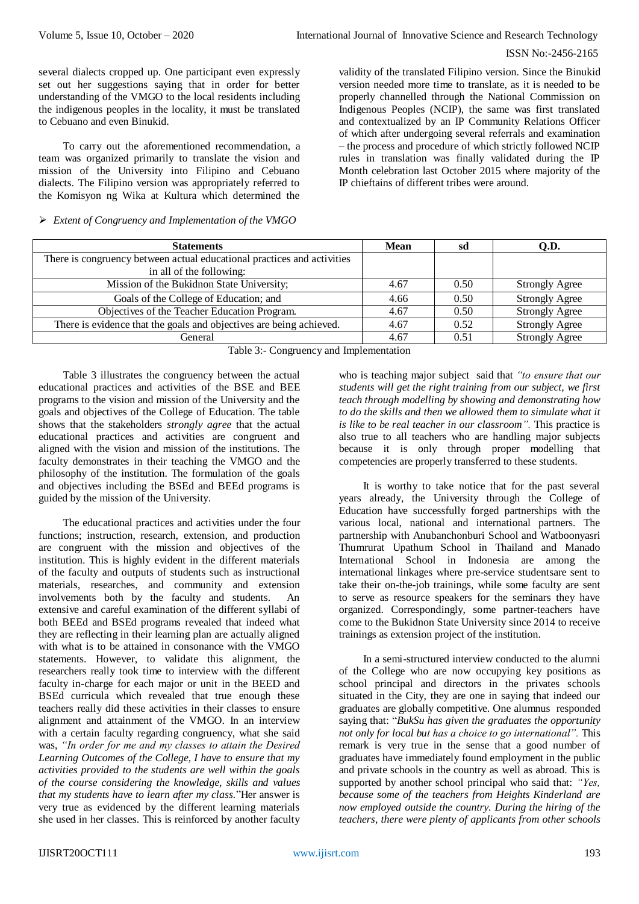#### ISSN No:-2456-2165

several dialects cropped up. One participant even expressly set out her suggestions saying that in order for better understanding of the VMGO to the local residents including the indigenous peoples in the locality, it must be translated to Cebuano and even Binukid.

To carry out the aforementioned recommendation, a team was organized primarily to translate the vision and mission of the University into Filipino and Cebuano dialects. The Filipino version was appropriately referred to the Komisyon ng Wika at Kultura which determined the

## *Extent of Congruency and Implementation of the VMGO*

validity of the translated Filipino version. Since the Binukid version needed more time to translate, as it is needed to be properly channelled through the National Commission on Indigenous Peoples (NCIP), the same was first translated and contextualized by an IP Community Relations Officer of which after undergoing several referrals and examination – the process and procedure of which strictly followed NCIP rules in translation was finally validated during the IP Month celebration last October 2015 where majority of the IP chieftains of different tribes were around.

| <b>Statements</b>                                                       | Mean | sd   | <b>O.D.</b>           |  |  |
|-------------------------------------------------------------------------|------|------|-----------------------|--|--|
| There is congruency between actual educational practices and activities |      |      |                       |  |  |
| in all of the following:                                                |      |      |                       |  |  |
| Mission of the Bukidnon State University;                               | 4.67 | 0.50 | <b>Strongly Agree</b> |  |  |
| Goals of the College of Education; and                                  | 4.66 | 0.50 | <b>Strongly Agree</b> |  |  |
| Objectives of the Teacher Education Program.                            | 4.67 | 0.50 | <b>Strongly Agree</b> |  |  |
| There is evidence that the goals and objectives are being achieved.     | 4.67 | 0.52 | <b>Strongly Agree</b> |  |  |
| General                                                                 | 4.67 | 0.51 | <b>Strongly Agree</b> |  |  |
| $\cdots$<br>$\sim$ $\sim$ $\sim$                                        |      |      |                       |  |  |

Table 3:- Congruency and Implementation

Table 3 illustrates the congruency between the actual educational practices and activities of the BSE and BEE programs to the vision and mission of the University and the goals and objectives of the College of Education. The table shows that the stakeholders *strongly agree* that the actual educational practices and activities are congruent and aligned with the vision and mission of the institutions. The faculty demonstrates in their teaching the VMGO and the philosophy of the institution. The formulation of the goals and objectives including the BSEd and BEEd programs is guided by the mission of the University.

The educational practices and activities under the four functions; instruction, research, extension, and production are congruent with the mission and objectives of the institution. This is highly evident in the different materials of the faculty and outputs of students such as instructional materials, researches, and community and extension involvements both by the faculty and students. An extensive and careful examination of the different syllabi of both BEEd and BSEd programs revealed that indeed what they are reflecting in their learning plan are actually aligned with what is to be attained in consonance with the VMGO statements. However, to validate this alignment, the researchers really took time to interview with the different faculty in-charge for each major or unit in the BEED and BSEd curricula which revealed that true enough these teachers really did these activities in their classes to ensure alignment and attainment of the VMGO. In an interview with a certain faculty regarding congruency, what she said was, *"In order for me and my classes to attain the Desired Learning Outcomes of the College, I have to ensure that my activities provided to the students are well within the goals of the course considering the knowledge, skills and values that my students have to learn after my class.*"Her answer is very true as evidenced by the different learning materials she used in her classes. This is reinforced by another faculty

who is teaching major subject said that *"to ensure that our students will get the right training from our subject, we first teach through modelling by showing and demonstrating how to do the skills and then we allowed them to simulate what it is like to be real teacher in our classroom".* This practice is also true to all teachers who are handling major subjects because it is only through proper modelling that competencies are properly transferred to these students.

It is worthy to take notice that for the past several years already, the University through the College of Education have successfully forged partnerships with the various local, national and international partners. The partnership with Anubanchonburi School and Watboonyasri Thumrurat Upathum School in Thailand and Manado International School in Indonesia are among the international linkages where pre-service studentsare sent to take their on-the-job trainings, while some faculty are sent to serve as resource speakers for the seminars they have organized. Correspondingly, some partner-teachers have come to the Bukidnon State University since 2014 to receive trainings as extension project of the institution.

In a semi-structured interview conducted to the alumni of the College who are now occupying key positions as school principal and directors in the privates schools situated in the City, they are one in saying that indeed our graduates are globally competitive. One alumnus responded saying that: "*BukSu has given the graduates the opportunity not only for local but has a choice to go international".* This remark is very true in the sense that a good number of graduates have immediately found employment in the public and private schools in the country as well as abroad. This is supported by another school principal who said that: *"Yes, because some of the teachers from Heights Kinderland are now employed outside the country. During the hiring of the teachers, there were plenty of applicants from other schools*